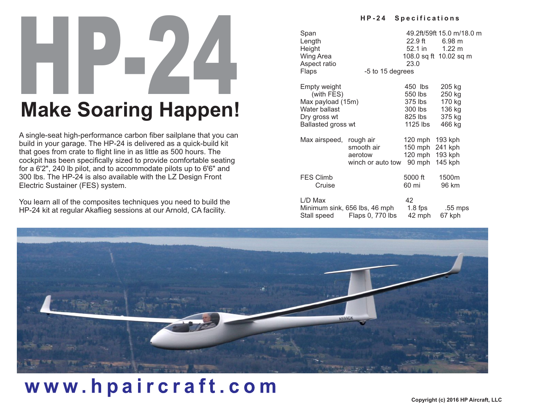# HP-24 **Make Soaring Happen!**

A single-seat high-performance carbon fiber sailplane that you can build in your garage. The HP-24 is delivered as a quick-build kit that goes from crate to flight line in as little as 500 hours. The cockpit has been specifically sized to provide comfortable seating for a 6'2", 240 lb pilot, and to accommodate pilots up to 6'6" and 300 lbs. The HP-24 is also available with the LZ Design Front Electric Sustainer (FES) system.

You learn all of the composites techniques you need to build the HP-24 kit at regular Akaflieg sessions at our Arnold, CA facility.

#### **H P -2 4 S p e c i f ic a t i o n s**

Span 49.2ft/59ft 15.0 m/18.0 m<br>Length 22.9 ft 6.98 m Length 22.9 ft 6.98 m<br>Height 52.1 in 1.22 m Height Wing Area 108.0 sq ft 10.02 sq m Aspect ratio 23.0 Flaps -5 to 15 degrees Empty weight 6 and 450 lbs 205 kg (with FES) 550 lbs 250 kg Max payload (15m) 375 lbs 170 kg<br>Water ballast 300 lbs 136 kg Water ballast 300 lbs 136 kg<br>Drv gross wt 325 lbs 375 kg Dry gross wt 825 lbs 375 kg<br>Ballasted gross wt 8125 lbs 466 kg Ballasted gross wt 1125 lbs 466 kg Max airspeed, rough air 120 mph 193 kph smooth air 150 mph 241 kph aerotow 120 mph 193 kph winch or auto tow 90 mph 145 kph FES Climb 5000 ft 1500m<br>Cruise 60 mi 96 km Cruise 60 mi 96 km L/D Max 42<br>Minimum sink, 656 lbs, 46 mph 1.8 fps Minimum sink, 656 lbs, 46 mph 1.8 fps .55 mps Stall speed Flaps 0, 770 lbs 42 mph 67 kph



## www.hpaircraft.com